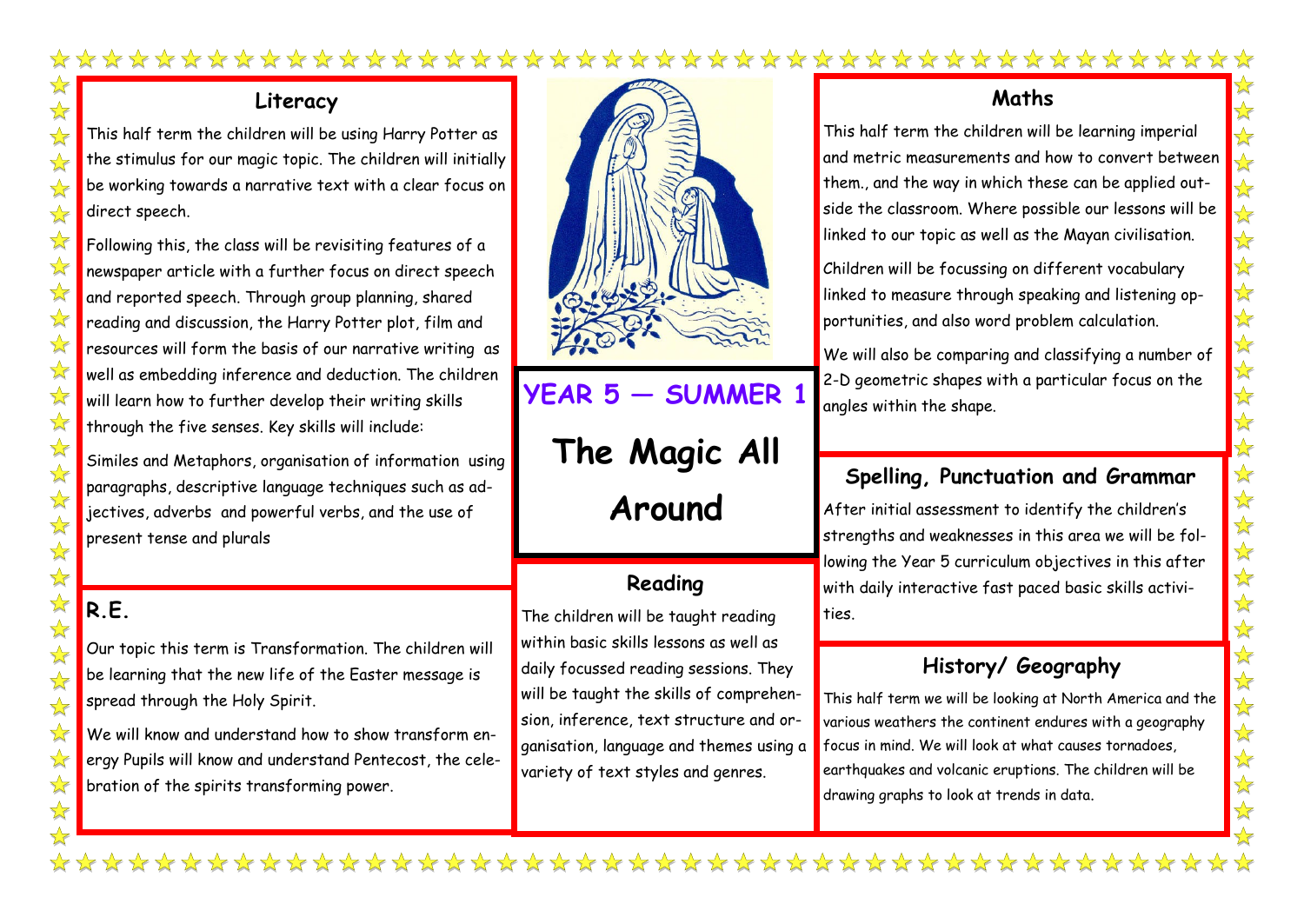#### \*\*\*\*\*\*\*\*\*\*\*\*\*\*\*\*\*\*\*\*\*\*\*\*\*\*\* \*\*\*\*\*\*\*  $\sqrt{\phantom{a}}$

#### **Literacy**

This half term the children will be using Harry Potter as the stimulus for our magic topic. The children will initially be working towards a narrative text with a clear focus on direct speech.

Following this, the class will be revisiting features of a newspaper article with a further focus on direct speech and reported speech. Through group planning, shared reading and discussion, the Harry Potter plot, film and resources will form the basis of our narrative writing as well as embedding inference and deduction. The children will learn how to further develop their writing skills through the five senses. Key skills will include:

Similes and Metaphors, organisation of information using paragraphs, descriptive language techniques such as adjectives, adverbs and powerful verbs, and the use of present tense and plurals

### **R.E.**

 $\sqrt{\sqrt{2}}$ 

 $\frac{1}{\sqrt{2}}$ 

 $\sqrt{\phantom{a}}$  $\frac{1}{\sqrt{2}}$ 

 $\sqrt{\sqrt{2}}$ 

 $\frac{1}{\sqrt{2}}$  $\frac{1}{\sqrt{2}}$  $\frac{1}{\sqrt{2}}$ 

 $\frac{\lambda}{\lambda}$ 

 $\frac{1}{\sqrt{2}}$  $\rightarrow$ 

 $\rightarrow$ 

 $\frac{1}{\sqrt{2}}$ 

 $\frac{1}{\sqrt{2}}$  $\frac{1}{2}$  $\sqrt{\sqrt{2}}$ 

 $\sqrt{\sqrt{\sqrt{2}}}$  $\sqrt{\sqrt{2}}$ 

 $\frac{1}{2}$ 

 $\frac{1}{2}$ 

Our topic this term is Transformation. The children will be learning that the new life of the Easter message is spread through the Holy Spirit.

We will know and understand how to show transform energy Pupils will know and understand Pentecost, the celebration of the spirits transforming power.



# **YEAR 5 — SUMMER 1**

**The Magic All Around**

#### **Reading**

The children will be taught reading within basic skills lessons as well as daily focussed reading sessions. They will be taught the skills of comprehension, inference, text structure and organisation, language and themes using a variety of text styles and genres.

#### **Maths**

This half term the children will be learning imperial and metric measurements and how to convert between them., and the way in which these can be applied outside the classroom. Where possible our lessons will be linked to our topic as well as the Mayan civilisation.

Children will be focussing on different vocabulary linked to measure through speaking and listening opportunities, and also word problem calculation.

We will also be comparing and classifying a number of 2-D geometric shapes with a particular focus on the angles within the shape.

#### **Spelling, Punctuation and Grammar**

After initial assessment to identify the children's strengths and weaknesses in this area we will be following the Year 5 curriculum objectives in this after with daily interactive fast paced basic skills activities.

#### **History/ Geography**

This half term we will be looking at North America and the various weathers the continent endures with a geography focus in mind. We will look at what causes tornadoes, earthquakes and volcanic eruptions. The children will be drawing graphs to look at trends in data.